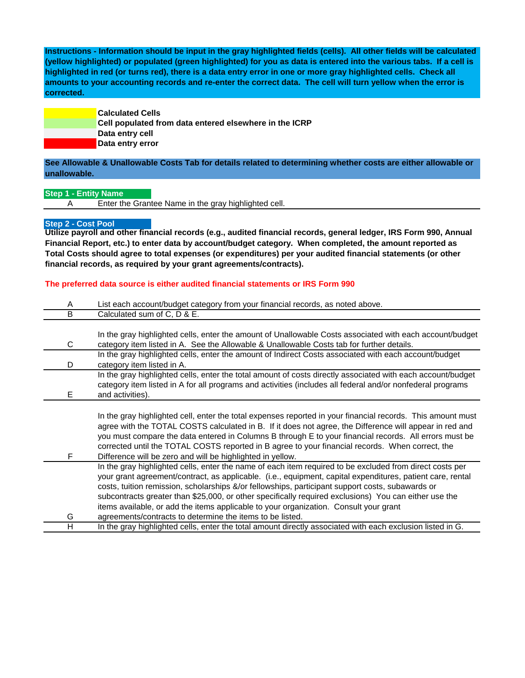**Instructions - Information should be input in the gray highlighted fields (cells). All other fields will be calculated (yellow highlighted) or populated (green highlighted) for you as data is entered into the various tabs. If a cell is highlighted in red (or turns red), there is a data entry error in one or more gray highlighted cells. Check all amounts to your accounting records and re-enter the correct data. The cell will turn yellow when the error is corrected.**

> **Calculated Cells Cell populated from data entered elsewhere in the ICRP Data entry cell Data entry error**

## **See Allowable & Unallowable Costs Tab for details related to determining whether costs are either allowable or unallowable.**

**Step 1 - Entity Name**

A Enter the Grantee Name in the gray highlighted cell.

## **Step 2 - Cost Pool**

**Utilize payroll and other financial records (e.g., audited financial records, general ledger, IRS Form 990, Annual Financial Report, etc.) to enter data by account/budget category. When completed, the amount reported as Total Costs should agree to total expenses (or expenditures) per your audited financial statements (or other financial records, as required by your grant agreements/contracts).**

## **The preferred data source is either audited financial statements or IRS Form 990**

| A | List each account/budget category from your financial records, as noted above.                              |
|---|-------------------------------------------------------------------------------------------------------------|
| B | Calculated sum of C, D & E.                                                                                 |
|   |                                                                                                             |
|   | In the gray highlighted cells, enter the amount of Unallowable Costs associated with each account/budget    |
| C | category item listed in A. See the Allowable & Unallowable Costs tab for further details.                   |
|   | In the gray highlighted cells, enter the amount of Indirect Costs associated with each account/budget       |
| D | category item listed in A.                                                                                  |
|   | In the gray highlighted cells, enter the total amount of costs directly associated with each account/budget |
|   | category item listed in A for all programs and activities (includes all federal and/or nonfederal programs  |
| Е | and activities).                                                                                            |
|   |                                                                                                             |
|   | In the gray highlighted cell, enter the total expenses reported in your financial records. This amount must |
|   | agree with the TOTAL COSTS calculated in B. If it does not agree, the Difference will appear in red and     |
|   | you must compare the data entered in Columns B through E to your financial records. All errors must be      |
|   | corrected until the TOTAL COSTS reported in B agree to your financial records. When correct, the            |
| F | Difference will be zero and will be highlighted in yellow.                                                  |
|   | In the gray highlighted cells, enter the name of each item required to be excluded from direct costs per    |
|   | your grant agreement/contract, as applicable. (i.e., equipment, capital expenditures, patient care, rental  |
|   | costs, tuition remission, scholarships &/or fellowships, participant support costs, subawards or            |
|   | subcontracts greater than \$25,000, or other specifically required exclusions) You can either use the       |
|   | items available, or add the items applicable to your organization. Consult your grant                       |
| G | agreements/contracts to determine the items to be listed.                                                   |
| н | In the gray highlighted cells, enter the total amount directly associated with each exclusion listed in G.  |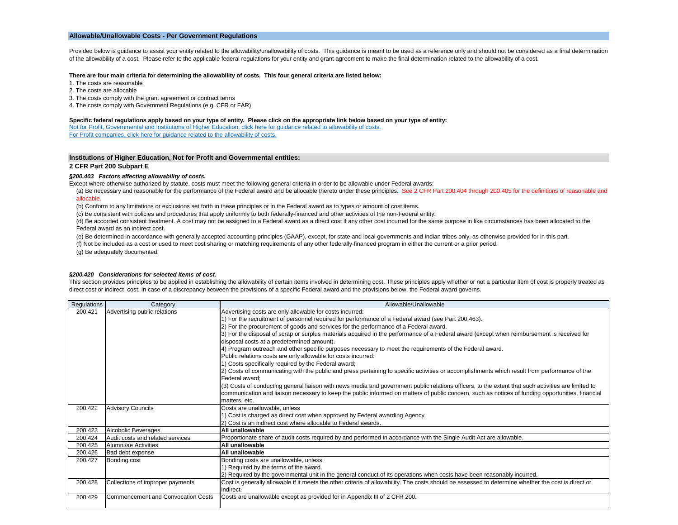### **Allowable/Unallowable Costs - Per Government Regulations**

Provided below is guidance to assist your entity related to the allowability/unallowability of costs. This guidance is meant to be used as a reference only and should not be considered as a final determination of the allowability of a cost. Please refer to the applicable federal regulations for your entity and grant agreement to make the final determination related to the allowability of a cost.

#### **There are four main criteria for determining the allowability of costs. This four general criteria are listed below:**

- 1. The costs are reasonable
- 2. The costs are allocable
- 3. The costs comply with the grant agreement or contract terms
- 4. The costs comply with Government Regulations (e.g. CFR or FAR)

#### **Specific federal regulations apply based on your type of entity. Please click on the appropriate link below based on your type of entity:**

[Not for Profit, Governmental and Institutions of Higher Education, click here for guidance related to allowability of costs.](#page-1-0)

[For Profit companies, click here for guidance related to the allowability of costs.](#page-3-0)

#### <span id="page-1-0"></span>**Institutions of Higher Education, Not for Profit and Governmental entities:**

#### **2 CFR Part 200 Subpart E**

#### *§200.403 Factors affecting allowability of costs.*

Except where otherwise authorized by statute, costs must meet the following general criteria in order to be allowable under Federal awards:

(a) Be necessary and reasonable for the performance of the Federal award and be allocable thereto under these principles. See 2 CFR Part 200.404 through 200.405 for the definitions of reasonable and allocable.

(b) Conform to any limitations or exclusions set forth in these principles or in the Federal award as to types or amount of cost items.

(c) Be consistent with policies and procedures that apply uniformly to both federally-financed and other activities of the non-Federal entity.

(d) Be accorded consistent treatment. A cost may not be assigned to a Federal award as a direct cost if any other cost incurred for the same purpose in like circumstances has been allocated to the Federal award as an indirect cost.

(e) Be determined in accordance with generally accepted accounting principles (GAAP), except, for state and local governments and Indian tribes only, as otherwise provided for in this part.

(f) Not be included as a cost or used to meet cost sharing or matching requirements of any other federally-financed program in either the current or a prior period.

(g) Be adequately documented.

#### *§200.420 Considerations for selected items of cost.*

This section provides principles to be applied in establishing the allowability of certain items involved in determining cost. These principles apply whether or not a particular item of cost is properly treated as direct cost or indirect cost. In case of a discrepancy between the provisions of a specific Federal award and the provisions below, the Federal award governs.

| Regulations | Category                                  | Allowable/Unallowable                                                                                                                               |
|-------------|-------------------------------------------|-----------------------------------------------------------------------------------------------------------------------------------------------------|
| 200.421     | Advertising public relations              | Advertising costs are only allowable for costs incurred:                                                                                            |
|             |                                           | 1) For the recruitment of personnel required for performance of a Federal award (see Part 200.463).                                                 |
|             |                                           | 2) For the procurement of goods and services for the performance of a Federal award.                                                                |
|             |                                           | 3) For the disposal of scrap or surplus materials acquired in the performance of a Federal award (except when reimbursement is received for         |
|             |                                           | disposal costs at a predetermined amount).                                                                                                          |
|             |                                           | 4) Program outreach and other specific purposes necessary to meet the requirements of the Federal award.                                            |
|             |                                           | Public relations costs are only allowable for costs incurred:                                                                                       |
|             |                                           | 1) Costs specifically required by the Federal award;                                                                                                |
|             |                                           | (2) Costs of communicating with the public and press pertaining to specific activities or accomplishments which result from performance of the      |
|             |                                           | Federal award:                                                                                                                                      |
|             |                                           | (3) Costs of conducting general liaison with news media and government public relations officers, to the extent that such activities are limited to |
|             |                                           | communication and liaison necessary to keep the public informed on matters of public concern, such as notices of funding opportunities, financial   |
|             |                                           | matters, etc.                                                                                                                                       |
| 200.422     | <b>Advisory Councils</b>                  | Costs are unallowable, unless                                                                                                                       |
|             |                                           | 1) Cost is charged as direct cost when approved by Federal awarding Agency.                                                                         |
|             |                                           | 2) Cost is an indirect cost where allocable to Federal awards.                                                                                      |
| 200.423     | Alcoholic Beverages                       | All unallowable                                                                                                                                     |
| 200.424     | Audit costs and related services          | Proportionate share of audit costs required by and performed in accordance with the Single Audit Act are allowable.                                 |
| 200.425     | Alumni/ae Activities                      | All unallowable                                                                                                                                     |
| 200.426     | Bad debt expense                          | All unallowable                                                                                                                                     |
| 200.427     | Bonding cost                              | Bonding costs are unallowable, unless:                                                                                                              |
|             |                                           | 1) Required by the terms of the award.                                                                                                              |
|             |                                           | [2] Required by the governmental unit in the general conduct of its operations when costs have been reasonably incurred.                            |
| 200.428     | Collections of improper payments          | Cost is generally allowable if it meets the other criteria of allowability. The costs should be assessed to determine whether the cost is direct or |
|             |                                           | indirect.                                                                                                                                           |
| 200.429     | <b>Commencement and Convocation Costs</b> | Costs are unallowable except as provided for in Appendix III of 2 CFR 200.                                                                          |
|             |                                           |                                                                                                                                                     |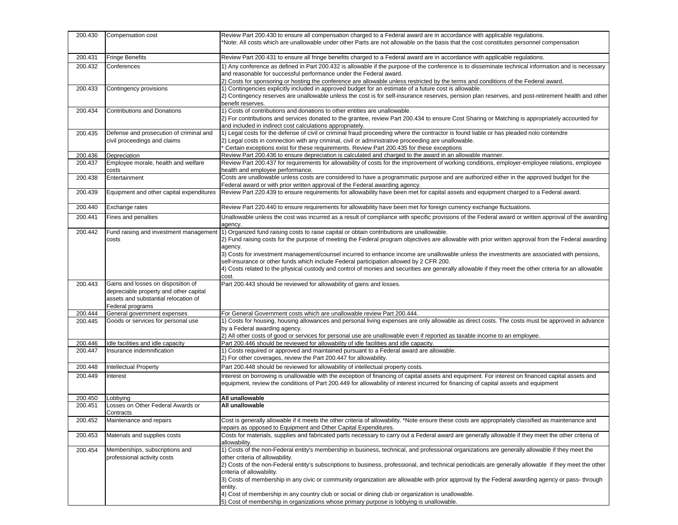| 200.430            | Compensation cost                                                 | Review Part 200.430 to ensure all compensation charged to a Federal award are in accordance with applicable regulations.<br>*Note: All costs which are unallowable under other Parts are not allowable on the basis that the cost constitutes personnel compensation |
|--------------------|-------------------------------------------------------------------|----------------------------------------------------------------------------------------------------------------------------------------------------------------------------------------------------------------------------------------------------------------------|
| 200.431            | <b>Fringe Benefits</b>                                            | Review Part 200.431 to ensure all fringe benefits charged to a Federal award are in accordance with applicable regulations.                                                                                                                                          |
| 200.432            | Conferences                                                       | 1) Any conference as defined in Part 200.432 is allowable if the purpose of the conference is to disseminate technical information and is necessary                                                                                                                  |
|                    |                                                                   | and reasonable for successful performance under the Federal award.                                                                                                                                                                                                   |
|                    |                                                                   | 2) Costs for sponsoring or hosting the conference are allowable unless restricted by the terms and conditions of the Federal award.                                                                                                                                  |
| 200.433            | Contingency provisions                                            | 1) Contingencies explicitly included in approved budget for an estimate of a future cost is allowable.                                                                                                                                                               |
|                    |                                                                   | 2) Contingency reserves are unallowable unless the cost is for self-insurance reserves, pension plan reserves, and post-retirement health and other<br>benefit reserves.                                                                                             |
| 200.434            | <b>Contributions and Donations</b>                                | 1) Costs of contributions and donations to other entities are unallowable.                                                                                                                                                                                           |
|                    |                                                                   | 2) For contributions and services donated to the grantee, review Part 200.434 to ensure Cost Sharing or Matching is appropriately accounted for                                                                                                                      |
|                    |                                                                   | and included in indirect cost calculations appropriately.                                                                                                                                                                                                            |
| 200.435            | Defense and prosecution of criminal and                           | 1) Legal costs for the defense of civil or criminal fraud proceeding where the contractor is found liable or has pleaded nolo contendre                                                                                                                              |
|                    | civil proceedings and claims                                      | 2) Legal costs in connection with any criminal, civil or administrative proceeding are unallowable.                                                                                                                                                                  |
| 200.436            | Depreciation                                                      | Certain exceptions exist for these requirements. Review Part 200.435 for these exceptions<br>Review Part 200.436 to ensure depreciation is calculated and charged to the award in an allowable manner.                                                               |
| 200.437            | Employee morale, health and welfare                               | Review Part 200.437 for requirements for allowability of costs for the improvement of working conditions, employer-employee relations, employee                                                                                                                      |
|                    | costs                                                             | health and employee performance.                                                                                                                                                                                                                                     |
| 200.438            | Entertainment                                                     | Costs are unallowable unless costs are considered to have a programmatic purpose and are authorized either in the approved budget for the                                                                                                                            |
|                    |                                                                   | Federal award or with prior written approval of the Federal awarding agency.                                                                                                                                                                                         |
| 200.439            | Equipment and other capital expenditures                          | Review Part 220.439 to ensure requirements for allowability have been met for capital assets and equipment charged to a Federal award.                                                                                                                               |
| 200.440            | Exchange rates                                                    | Review Part 220.440 to ensure requirements for allowability have been met for foreign currency exchange fluctuations.                                                                                                                                                |
| 200.441            | Fines and penalties                                               | Unallowable unless the cost was incurred as a result of compliance with specific provisions of the Federal award or written approval of the awarding<br>agency.                                                                                                      |
| 200.442            | Fund raising and investment management                            | 1) Organized fund raising costs to raise capital or obtain contributions are unallowable.                                                                                                                                                                            |
|                    | costs                                                             | 2) Fund raising costs for the purpose of meeting the Federal program objectives are allowable with prior written approval from the Federal awarding                                                                                                                  |
|                    |                                                                   | agency.                                                                                                                                                                                                                                                              |
|                    |                                                                   | 3) Costs for investment management/counsel incurred to enhance income are unallowable unless the investments are associated with pensions,                                                                                                                           |
|                    |                                                                   | self-insurance or other funds which include Federal participation allowed by 2 CFR 200.<br>4) Costs related to the physical custody and control of monies and securities are generally allowable if they meet the other criteria for an allowable                    |
|                    |                                                                   | cost.                                                                                                                                                                                                                                                                |
| 200.443            | Gains and losses on disposition of                                | Part 200.443 should be reviewed for allowability of gains and losses.                                                                                                                                                                                                |
|                    | depreciable property and other capital                            |                                                                                                                                                                                                                                                                      |
|                    | assets and substantial relocation of                              |                                                                                                                                                                                                                                                                      |
|                    | Federal programs                                                  |                                                                                                                                                                                                                                                                      |
| 200.444<br>200.445 | General government expenses<br>Goods or services for personal use | For General Government costs which are unallowable review Part 200.444.<br>1) Costs for housing, housing allowances and personal living expenses are only allowable as direct costs. The costs must be approved in advance                                           |
|                    |                                                                   | by a Federal awarding agency.                                                                                                                                                                                                                                        |
|                    |                                                                   | 2) All other costs of good or services for personal use are unallowable even if reported as taxable income to an employee.                                                                                                                                           |
| 200.446            | Idle facilities and idle capacity                                 | Part 200.446 should be reviewed for allowability of idle facilities and idle capacity.                                                                                                                                                                               |
| 200.447            | Insurance indemnification                                         | 1) Costs required or approved and maintained pursuant to a Federal award are allowable.                                                                                                                                                                              |
|                    |                                                                   | 2) For other coverages, review the Part 200.447 for allowability.                                                                                                                                                                                                    |
| 200.448            | Intellectual Property                                             | Part 200.448 should be reviewed for allowability of intellectual property costs.                                                                                                                                                                                     |
| 200.449            | Interest                                                          | Interest on borrowing is unallowable with the exception of financing of capital assets and equipment. For interest on financed capital assets and                                                                                                                    |
|                    |                                                                   | equipment, review the conditions of Part 200.449 for allowability of interest incurred for financing of capital assets and equipment                                                                                                                                 |
| 200.450            | Lobbying                                                          | All unallowable                                                                                                                                                                                                                                                      |
| 200.451            | Losses on Other Federal Awards or                                 | All unallowable                                                                                                                                                                                                                                                      |
|                    | Contracts                                                         |                                                                                                                                                                                                                                                                      |
| 200.452            | Maintenance and repairs                                           | Cost is generally allowable if it meets the other criteria of allowability. *Note ensure these costs are appropriately classified as maintenance and                                                                                                                 |
| 200.453            | Materials and supplies costs                                      | repairs as opposed to Equipment and Other Capital Expenditures.<br>Costs for materials, supplies and fabricated parts necessary to carry out a Federal award are generally allowable if they meet the other criteria of                                              |
|                    |                                                                   | allowability.                                                                                                                                                                                                                                                        |
| 200.454            | Memberships, subscriptions and                                    | 1) Costs of the non-Federal entity's membership in business, technical, and professional organizations are generally allowable if they meet the                                                                                                                      |
|                    | professional activity costs                                       | other criteria of allowability.                                                                                                                                                                                                                                      |
|                    |                                                                   | 2) Costs of the non-Federal entity's subscriptions to business, professional, and technical periodicals are generally allowable if they meet the other                                                                                                               |
|                    |                                                                   | criteria of allowability.                                                                                                                                                                                                                                            |
|                    |                                                                   | 3) Costs of membership in any civic or community organization are allowable with prior approval by the Federal awarding agency or pass-through<br>entity.                                                                                                            |
|                    |                                                                   | 4) Cost of membership in any country club or social or dining club or organization is unallowable.                                                                                                                                                                   |
|                    |                                                                   | 5) Cost of membership in organizations whose primary purpose is lobbying is unallowable.                                                                                                                                                                             |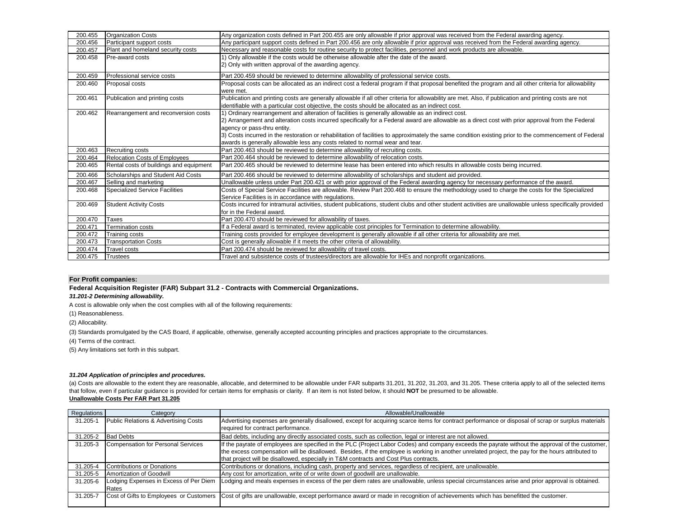| 200.455 | <b>Organization Costs</b>               | Any organization costs defined in Part 200.455 are only allowable if prior approval was received from the Federal awarding agency.                                                                     |  |  |
|---------|-----------------------------------------|--------------------------------------------------------------------------------------------------------------------------------------------------------------------------------------------------------|--|--|
| 200.456 | Participant support costs               | Any participant support costs defined in Part 200.456 are only allowable if prior approval was received from the Federal awarding agency.                                                              |  |  |
| 200.457 | Plant and homeland security costs       | Necessary and reasonable costs for routine security to protect facilities, personnel and work products are allowable.                                                                                  |  |  |
| 200.458 | Pre-award costs                         | 1) Only allowable if the costs would be otherwise allowable after the date of the award.                                                                                                               |  |  |
|         |                                         | 2) Only with written approval of the awarding agency.                                                                                                                                                  |  |  |
| 200.459 | Professional service costs              | Part 200.459 should be reviewed to determine allowability of professional service costs.                                                                                                               |  |  |
| 200.460 | Proposal costs                          | Proposal costs can be allocated as an indirect cost a federal program if that proposal benefited the program and all other criteria for allowability<br>were met.                                      |  |  |
| 200.461 | Publication and printing costs          | Publication and printing costs are generally allowable if all other criteria for allowability are met. Also, if publication and printing costs are not                                                 |  |  |
|         |                                         | identifiable with a particular cost objective, the costs should be allocated as an indirect cost.                                                                                                      |  |  |
| 200.462 | Rearrangement and reconversion costs    | 1) Ordinary rearrangement and alteration of facilities is generally allowable as an indirect cost.                                                                                                     |  |  |
|         |                                         | 2) Arrangement and alteration costs incurred specifically for a Federal award are allowable as a direct cost with prior approval from the Federal                                                      |  |  |
|         |                                         | agency or pass-thru entity.                                                                                                                                                                            |  |  |
|         |                                         | 3) Costs incurred in the restoration or rehabilitation of facilities to approximately the same condition existing prior to the commencement of Federal                                                 |  |  |
|         |                                         | awards is generally allowable less any costs related to normal wear and tear.                                                                                                                          |  |  |
| 200.463 | <b>Recruiting costs</b>                 | Part 200.463 should be reviewed to determine allowability of recruiting costs.                                                                                                                         |  |  |
| 200.464 | <b>Relocation Costs of Employees</b>    | Part 200.464 should be reviewed to determine allowability of relocation costs.                                                                                                                         |  |  |
| 200.465 | Rental costs of buildings and equipment | Part 200.465 should be reviewed to determine lease has been entered into which results in allowable costs being incurred.                                                                              |  |  |
| 200.466 | Scholarships and Student Aid Costs      | Part 200.466 should be reviewed to determine allowability of scholarships and student aid provided.                                                                                                    |  |  |
| 200.467 | Selling and marketing                   | Unallowable unless under Part 200.421 or with prior approval of the Federal awarding agency for necessary performance of the award.                                                                    |  |  |
| 200.468 | <b>Specialized Service Facilities</b>   | Costs of Special Service Facilities are allowable. Review Part 200.468 to ensure the methodology used to charge the costs for the Specialized<br>Service Facilities is in accordance with regulations. |  |  |
| 200.469 | <b>Student Activity Costs</b>           | Costs incurred for intramural activities, student publications, student clubs and other student activities are unallowable unless specifically provided                                                |  |  |
|         |                                         | for in the Federal award.                                                                                                                                                                              |  |  |
| 200.470 | Taxes                                   | Part 200.470 should be reviewed for allowability of taxes.                                                                                                                                             |  |  |
| 200.471 | Termination costs                       | If a Federal award is terminated, review applicable cost principles for Termination to determine allowability.                                                                                         |  |  |
| 200.472 | Training costs                          | Training costs provided for employee development is generally allowable if all other criteria for allowability are met.                                                                                |  |  |
| 200.473 | <b>Transportation Costs</b>             | Cost is generally allowable if it meets the other criteria of allowability.                                                                                                                            |  |  |
| 200.474 | <b>Travel costs</b>                     | Part 200.474 should be reviewed for allowability of travel costs.                                                                                                                                      |  |  |
| 200.475 | <b>Trustees</b>                         | Travel and subsistence costs of trustees/directors are allowable for IHEs and nonprofit organizations.                                                                                                 |  |  |

### <span id="page-3-0"></span>**For Profit companies:**

**Federal Acquisition Register (FAR) Subpart 31.2 - Contracts with Commercial Organizations.**

*31.201-2 Determining allowability.*

A cost is allowable only when the cost complies with all of the following requirements:

(1) Reasonableness.

(2) Allocability.

(3) Standards promulgated by the CAS Board, if applicable, otherwise, generally accepted accounting principles and practices appropriate to the circumstances.

(4) Terms of the contract.

(5) Any limitations set forth in this subpart.

### *31.204 Application of principles and procedures.*

**Unallowable Costs Per FAR Part 31.205** (a) Costs are allowable to the extent they are reasonable, allocable, and determined to be allowable under FAR subparts 31.201, 31.202, 31.203, and 31.205. These criteria apply to all of the selected items that follow, even if particular guidance is provided for certain items for emphasis or clarity. If an item is not listed below, it should **NOT** be presumed to be allowable.

| Regulations | Category                                | Allowable/Unallowable                                                                                                                                                                     |
|-------------|-----------------------------------------|-------------------------------------------------------------------------------------------------------------------------------------------------------------------------------------------|
| 31.205-1    | Public Relations & Advertising Costs    | Advertising expenses are generally disallowed, except for acquiring scarce items for contract performance or disposal of scrap or surplus materials<br>required for contract performance. |
| 31.205-2    | <b>Bad Debts</b>                        | Bad debts, including any directly associated costs, such as collection, legal or interest are not allowed.                                                                                |
| 31.205-3    | Compensation for Personal Services      | If the payrate of employees are specified in the PLC (Project Labor Codes) and company exceeds the payrate without the approval of the customer,                                          |
|             |                                         | the excess compensation will be disallowed. Besides, if the employee is working in another unrelated project, the pay for the hours attributed to                                         |
|             |                                         | that project will be disallowed, especially in T&M contracts and Cost Plus contracts.                                                                                                     |
| 31.205-4    | Contributions or Donations              | Contributions or donations, including cash, property and services, regardless of recipient, are unallowable.                                                                              |
| 31.205-5    | Amortization of Goodwill                | Any cost for amortization, write of or write down of goodwill are unallowable.                                                                                                            |
| 31.205-6    | Lodging Expenses in Excess of Per Diem  | Lodging and meals expenses in excess of the per diem rates are unallowable, unless special circumstances arise and prior approval is obtained.                                            |
|             | Rates                                   |                                                                                                                                                                                           |
| 31.205-7    | Cost of Gifts to Employees or Customers | Cost of gifts are unallowable, except performance award or made in recognition of achievements which has benefitted the customer.                                                         |
|             |                                         |                                                                                                                                                                                           |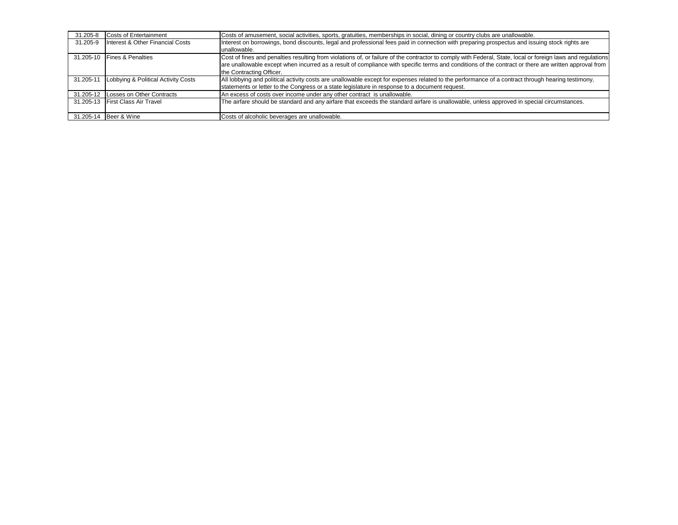| 31.205-8  | <b>Costs of Entertainment</b>       | Costs of amusement, social activities, sports, gratuities, memberships in social, dining or country clubs are unallowable.                                  |
|-----------|-------------------------------------|-------------------------------------------------------------------------------------------------------------------------------------------------------------|
| 31.205-9  | Interest & Other Financial Costs    | Interest on borrowings, bond discounts, legal and professional fees paid in connection with preparing prospectus and issuing stock rights are               |
|           |                                     | unallowable.                                                                                                                                                |
| 31.205-10 | <b>Fines &amp; Penalties</b>        | Cost of fines and penalties resulting from violations of, or failure of the contractor to comply with Federal, State, local or foreign laws and regulations |
|           |                                     | are unallowable except when incurred as a result of compliance with specific terms and conditions of the contract or there are written approval from        |
|           |                                     | the Contracting Officer.                                                                                                                                    |
| 31.205-11 | Lobbying & Political Activity Costs | All lobbying and political activity costs are unallowable except for expenses related to the performance of a contract through hearing testimony,           |
|           |                                     | statements or letter to the Congress or a state legislature in response to a document request.                                                              |
|           | 31.205-12 Losses on Other Contracts | An excess of costs over income under any other contract is unallowable.                                                                                     |
|           | 31.205-13 First Class Air Travel    | The airfare should be standard and any airfare that exceeds the standard airfare is unallowable, unless approved in special circumstances.                  |
|           | 31.205-14   Beer & Wine             | Costs of alcoholic beverages are unallowable.                                                                                                               |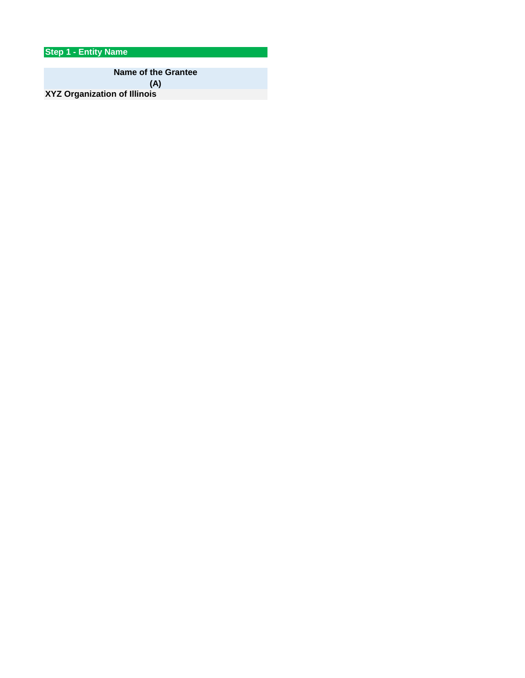**Step 1 - Entity Name**

**Name of the Grantee (A)**

**XYZ Organization of Illinois**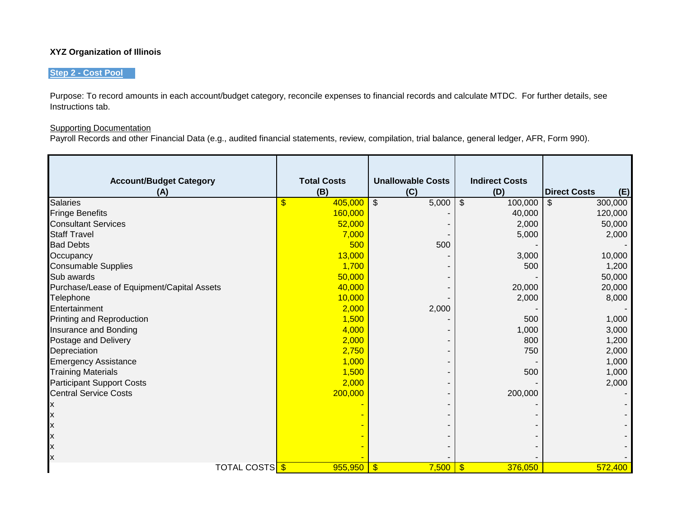# **XYZ Organization of Illinois**

# **Step 2 - Cost Pool**

Purpose: To record amounts in each account/budget category, reconcile expenses to financial records and calculate MTDC. For further details, see Instructions tab.

# **Supporting Documentation**

Payroll Records and other Financial Data (e.g., audited financial statements, review, compilation, trial balance, general ledger, AFR, Form 990).

| <b>Account/Budget Category</b>             | <b>Total Costs</b> | <b>Unallowable Costs</b>          | <b>Indirect Costs</b>    |                            |
|--------------------------------------------|--------------------|-----------------------------------|--------------------------|----------------------------|
| (A)                                        | (B)                | (C)                               | (D)                      | <b>Direct Costs</b><br>(E) |
| <b>Salaries</b>                            | \$<br>405,000      | $\overline{\mathcal{S}}$<br>5,000 | $\mathbb{S}$<br>100,000  | 300,000<br>\$              |
| <b>Fringe Benefits</b>                     | 160,000            |                                   | 40,000                   | 120,000                    |
| <b>Consultant Services</b>                 | 52,000             |                                   | 2,000                    | 50,000                     |
| <b>Staff Travel</b>                        | 7,000              |                                   | 5,000                    | 2,000                      |
| <b>Bad Debts</b>                           | 500                | 500                               |                          |                            |
| Occupancy                                  | 13,000             |                                   | 3,000                    | 10,000                     |
| <b>Consumable Supplies</b>                 | 1,700              |                                   | 500                      | 1,200                      |
| Sub awards                                 | 50,000             |                                   |                          | 50,000                     |
| Purchase/Lease of Equipment/Capital Assets | 40,000             |                                   | 20,000                   | 20,000                     |
| Telephone                                  | 10,000             |                                   | 2,000                    | 8,000                      |
| Entertainment                              | 2,000              | 2,000                             |                          |                            |
| Printing and Reproduction                  | 1,500              |                                   | 500                      | 1,000                      |
| Insurance and Bonding                      | 4,000              |                                   | 1,000                    | 3,000                      |
| Postage and Delivery                       | 2,000              |                                   | 800                      | 1,200                      |
| Depreciation                               | 2,750              |                                   | 750                      | 2,000                      |
| <b>Emergency Assistance</b>                | 1,000              |                                   |                          | 1,000                      |
| <b>Training Materials</b>                  | 1,500              |                                   | 500                      | 1,000                      |
| <b>Participant Support Costs</b>           | 2,000              |                                   |                          | 2,000                      |
| <b>Central Service Costs</b>               | 200,000            |                                   | 200,000                  |                            |
|                                            |                    |                                   |                          |                            |
| ΙX                                         |                    |                                   |                          |                            |
| ΙX                                         |                    |                                   |                          |                            |
| ΙX                                         |                    |                                   |                          |                            |
| ΙX                                         |                    |                                   |                          |                            |
| X                                          |                    |                                   |                          |                            |
| <b>TOTAL COSTS</b>                         | 955,950            | $\sqrt[3]{3}$<br>7,500            | $\frac{1}{2}$<br>376,050 | 572,400                    |